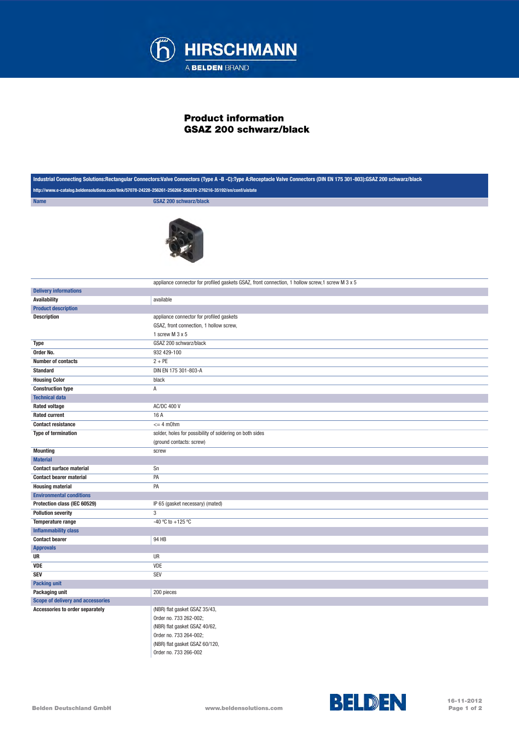

## Product information GSAZ 200 schwarz/black

| Industrial Connecting Solutions:Rectangular Connectors:Valve Connectors (Type A -B -C):Type A:Receptacle Valve Connectors (DIN EN 175 301-803):GSAZ 200 schwarz/black |                                                                                                  |
|-----------------------------------------------------------------------------------------------------------------------------------------------------------------------|--------------------------------------------------------------------------------------------------|
| http://www.e-catalog.beldensolutions.com/link/57078-24228-256261-256266-256270-276216-35192/en/conf/uistate                                                           |                                                                                                  |
| <b>Name</b>                                                                                                                                                           | <b>GSAZ 200 schwarz/black</b>                                                                    |
|                                                                                                                                                                       |                                                                                                  |
|                                                                                                                                                                       |                                                                                                  |
|                                                                                                                                                                       |                                                                                                  |
|                                                                                                                                                                       |                                                                                                  |
|                                                                                                                                                                       |                                                                                                  |
|                                                                                                                                                                       |                                                                                                  |
|                                                                                                                                                                       |                                                                                                  |
|                                                                                                                                                                       |                                                                                                  |
|                                                                                                                                                                       | appliance connector for profiled gaskets GSAZ, front connection, 1 hollow screw, 1 screw M 3 x 5 |
| <b>Delivery informations</b>                                                                                                                                          |                                                                                                  |
| <b>Availability</b>                                                                                                                                                   | available                                                                                        |
| <b>Product description</b>                                                                                                                                            |                                                                                                  |
| <b>Description</b>                                                                                                                                                    | appliance connector for profiled gaskets                                                         |
|                                                                                                                                                                       | GSAZ, front connection, 1 hollow screw,                                                          |
|                                                                                                                                                                       | 1 screw M 3 x 5                                                                                  |
| <b>Type</b>                                                                                                                                                           | GSAZ 200 schwarz/black                                                                           |
| Order No.                                                                                                                                                             | 932 429-100                                                                                      |
| <b>Number of contacts</b>                                                                                                                                             | $2 + PE$                                                                                         |
| <b>Standard</b>                                                                                                                                                       | DIN EN 175 301-803-A                                                                             |
| <b>Housing Color</b>                                                                                                                                                  | black                                                                                            |
| <b>Construction type</b>                                                                                                                                              | Α                                                                                                |
| <b>Technical data</b>                                                                                                                                                 |                                                                                                  |
| <b>Rated voltage</b>                                                                                                                                                  | <b>AC/DC 400 V</b>                                                                               |
| <b>Rated current</b>                                                                                                                                                  | 16 A                                                                                             |
| <b>Contact resistance</b>                                                                                                                                             | $= 4$ m0hm                                                                                       |
| <b>Type of termination</b>                                                                                                                                            | solder, holes for possibility of soldering on both sides                                         |
|                                                                                                                                                                       | (ground contacts: screw)                                                                         |
| <b>Mounting</b>                                                                                                                                                       | screw                                                                                            |
| <b>Material</b><br><b>Contact surface material</b>                                                                                                                    | Sn                                                                                               |
| <b>Contact bearer material</b>                                                                                                                                        | PA                                                                                               |
| <b>Housing material</b>                                                                                                                                               | PA                                                                                               |
| <b>Environmental conditions</b>                                                                                                                                       |                                                                                                  |
| Protection class (IEC 60529)                                                                                                                                          | IP 65 (gasket necessary) (mated)                                                                 |
| <b>Pollution severity</b>                                                                                                                                             | 3                                                                                                |
| Temperature range                                                                                                                                                     | -40 °C to +125 °C                                                                                |
| <b>Inflammability class</b>                                                                                                                                           |                                                                                                  |
| <b>Contact bearer</b>                                                                                                                                                 | 94 HB                                                                                            |
| <b>Approvals</b>                                                                                                                                                      |                                                                                                  |
| UR                                                                                                                                                                    | UR                                                                                               |
| VDE                                                                                                                                                                   | VDE                                                                                              |
| <b>SEV</b>                                                                                                                                                            | SEV                                                                                              |
| <b>Packing unit</b>                                                                                                                                                   |                                                                                                  |
| Packaging unit                                                                                                                                                        | 200 pieces                                                                                       |
| Scope of delivery and accessories                                                                                                                                     |                                                                                                  |
| Accessories to order separately                                                                                                                                       | (NBR) flat gasket GSAZ 35/43,                                                                    |
|                                                                                                                                                                       | Order no. 733 262-002;                                                                           |
|                                                                                                                                                                       | (NBR) flat gasket GSAZ 40/62,                                                                    |
|                                                                                                                                                                       | Order no. 733 264-002;                                                                           |
|                                                                                                                                                                       | (NBR) flat gasket GSAZ 60/120,                                                                   |
|                                                                                                                                                                       | Order no. 733 266-002                                                                            |